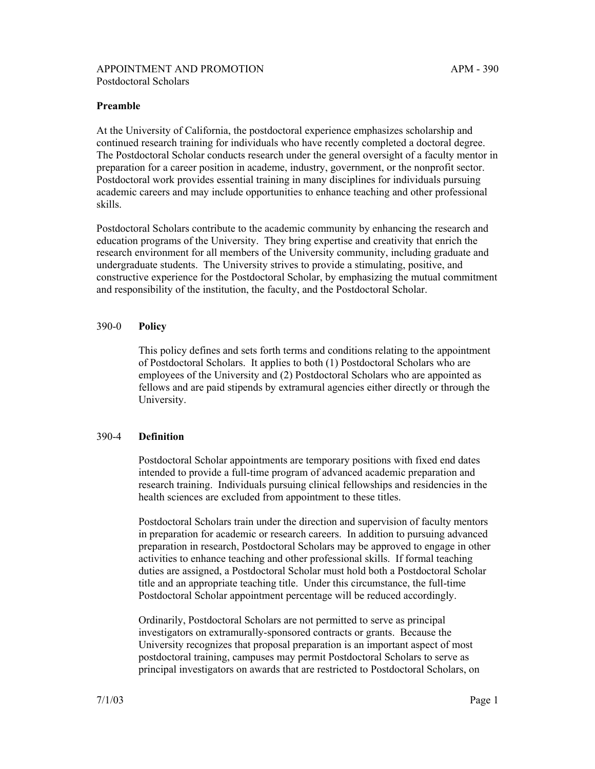## **Preamble**

At the University of California, the postdoctoral experience emphasizes scholarship and continued research training for individuals who have recently completed a doctoral degree. The Postdoctoral Scholar conducts research under the general oversight of a faculty mentor in preparation for a career position in academe, industry, government, or the nonprofit sector. Postdoctoral work provides essential training in many disciplines for individuals pursuing academic careers and may include opportunities to enhance teaching and other professional skills.

Postdoctoral Scholars contribute to the academic community by enhancing the research and education programs of the University. They bring expertise and creativity that enrich the research environment for all members of the University community, including graduate and undergraduate students. The University strives to provide a stimulating, positive, and constructive experience for the Postdoctoral Scholar, by emphasizing the mutual commitment and responsibility of the institution, the faculty, and the Postdoctoral Scholar.

### 390-0 **Policy**

This policy defines and sets forth terms and conditions relating to the appointment of Postdoctoral Scholars. It applies to both (1) Postdoctoral Scholars who are employees of the University and (2) Postdoctoral Scholars who are appointed as fellows and are paid stipends by extramural agencies either directly or through the University.

#### 390-4 **Definition**

Postdoctoral Scholar appointments are temporary positions with fixed end dates intended to provide a full-time program of advanced academic preparation and research training. Individuals pursuing clinical fellowships and residencies in the health sciences are excluded from appointment to these titles.

Postdoctoral Scholars train under the direction and supervision of faculty mentors in preparation for academic or research careers. In addition to pursuing advanced preparation in research, Postdoctoral Scholars may be approved to engage in other activities to enhance teaching and other professional skills. If formal teaching duties are assigned, a Postdoctoral Scholar must hold both a Postdoctoral Scholar title and an appropriate teaching title. Under this circumstance, the full-time Postdoctoral Scholar appointment percentage will be reduced accordingly.

Ordinarily, Postdoctoral Scholars are not permitted to serve as principal investigators on extramurally-sponsored contracts or grants. Because the University recognizes that proposal preparation is an important aspect of most postdoctoral training, campuses may permit Postdoctoral Scholars to serve as principal investigators on awards that are restricted to Postdoctoral Scholars, on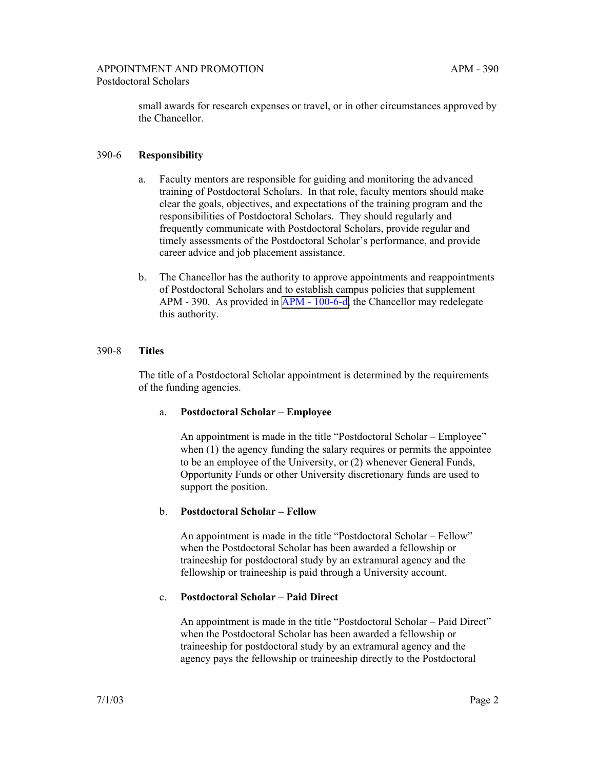small awards for research expenses or travel, or in other circumstances approved by the Chancellor.

# 390-6 **Responsibility**

- a. Faculty mentors are responsible for guiding and monitoring the advanced training of Postdoctoral Scholars. In that role, faculty mentors should make clear the goals, objectives, and expectations of the training program and the responsibilities of Postdoctoral Scholars. They should regularly and frequently communicate with Postdoctoral Scholars, provide regular and timely assessments of the Postdoctoral Scholar's performance, and provide career advice and job placement assistance.
- b. The Chancellor has the authority to approve appointments and reappointments of Postdoctoral Scholars and to establish campus policies that supplement APM - 390. As provided in [APM - 100-6-d,](http://ucop.edu/academic-personnel-programs/_files/apm/apm-100.pdf) the Chancellor may redelegate this authority.

## 390-8 **Titles**

The title of a Postdoctoral Scholar appointment is determined by the requirements of the funding agencies.

## a. **Postdoctoral Scholar – Employee**

An appointment is made in the title "Postdoctoral Scholar – Employee" when (1) the agency funding the salary requires or permits the appointee to be an employee of the University, or (2) whenever General Funds, Opportunity Funds or other University discretionary funds are used to support the position.

## b. **Postdoctoral Scholar – Fellow**

An appointment is made in the title "Postdoctoral Scholar – Fellow" when the Postdoctoral Scholar has been awarded a fellowship or traineeship for postdoctoral study by an extramural agency and the fellowship or traineeship is paid through a University account.

## c. **Postdoctoral Scholar – Paid Direct**

An appointment is made in the title "Postdoctoral Scholar – Paid Direct" when the Postdoctoral Scholar has been awarded a fellowship or traineeship for postdoctoral study by an extramural agency and the agency pays the fellowship or traineeship directly to the Postdoctoral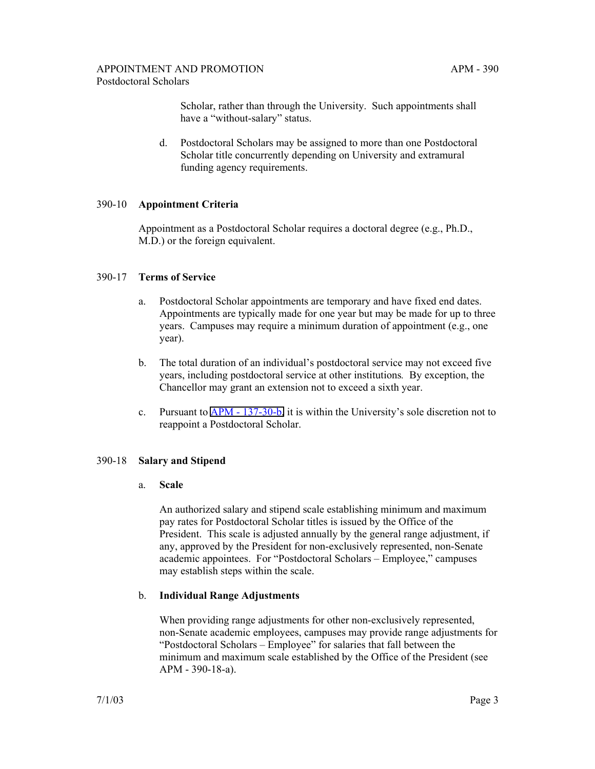Scholar, rather than through the University. Such appointments shall have a "without-salary" status.

d. Postdoctoral Scholars may be assigned to more than one Postdoctoral Scholar title concurrently depending on University and extramural funding agency requirements.

## 390-10 **Appointment Criteria**

Appointment as a Postdoctoral Scholar requires a doctoral degree (e.g., Ph.D., M.D.) or the foreign equivalent.

### 390-17 **Terms of Service**

- a. Postdoctoral Scholar appointments are temporary and have fixed end dates. Appointments are typically made for one year but may be made for up to three years. Campuses may require a minimum duration of appointment (e.g., one year).
- b. The total duration of an individual's postdoctoral service may not exceed five years, including postdoctoral service at other institutions*.* By exception, the Chancellor may grant an extension not to exceed a sixth year.
- c. Pursuant to [APM 137-30-b,](http://ucop.edu/academic-personnel-programs/_files/apm/apm-137.pdf) it is within the University's sole discretion not to reappoint a Postdoctoral Scholar.

#### 390-18 **Salary and Stipend**

### a. **Scale**

An authorized salary and stipend scale establishing minimum and maximum pay rates for Postdoctoral Scholar titles is issued by the Office of the President. This scale is adjusted annually by the general range adjustment, if any, approved by the President for non-exclusively represented, non-Senate academic appointees. For "Postdoctoral Scholars – Employee," campuses may establish steps within the scale.

## b. **Individual Range Adjustments**

When providing range adjustments for other non-exclusively represented, non-Senate academic employees, campuses may provide range adjustments for "Postdoctoral Scholars – Employee" for salaries that fall between the minimum and maximum scale established by the Office of the President (see APM - 390-18-a).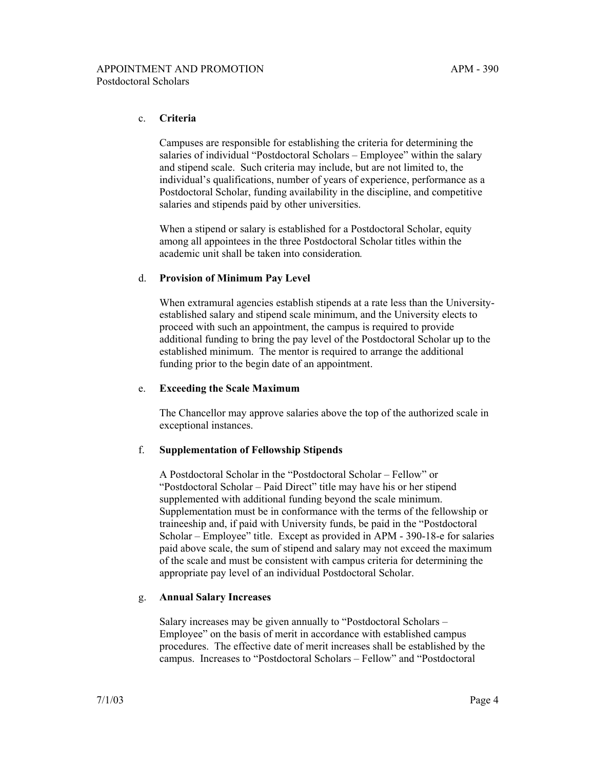## c. **Criteria**

Campuses are responsible for establishing the criteria for determining the salaries of individual "Postdoctoral Scholars – Employee" within the salary and stipend scale. Such criteria may include, but are not limited to, the individual's qualifications, number of years of experience, performance as a Postdoctoral Scholar, funding availability in the discipline, and competitive salaries and stipends paid by other universities.

When a stipend or salary is established for a Postdoctoral Scholar, equity among all appointees in the three Postdoctoral Scholar titles within the academic unit shall be taken into consideration*.*

## d. **Provision of Minimum Pay Level**

When extramural agencies establish stipends at a rate less than the Universityestablished salary and stipend scale minimum, and the University elects to proceed with such an appointment, the campus is required to provide additional funding to bring the pay level of the Postdoctoral Scholar up to the established minimum. The mentor is required to arrange the additional funding prior to the begin date of an appointment.

## e. **Exceeding the Scale Maximum**

The Chancellor may approve salaries above the top of the authorized scale in exceptional instances.

## f. **Supplementation of Fellowship Stipends**

A Postdoctoral Scholar in the "Postdoctoral Scholar – Fellow" or "Postdoctoral Scholar – Paid Direct" title may have his or her stipend supplemented with additional funding beyond the scale minimum. Supplementation must be in conformance with the terms of the fellowship or traineeship and, if paid with University funds, be paid in the "Postdoctoral Scholar – Employee" title. Except as provided in APM - 390-18-e for salaries paid above scale, the sum of stipend and salary may not exceed the maximum of the scale and must be consistent with campus criteria for determining the appropriate pay level of an individual Postdoctoral Scholar.

## g. **Annual Salary Increases**

Salary increases may be given annually to "Postdoctoral Scholars – Employee" on the basis of merit in accordance with established campus procedures. The effective date of merit increases shall be established by the campus. Increases to "Postdoctoral Scholars – Fellow" and "Postdoctoral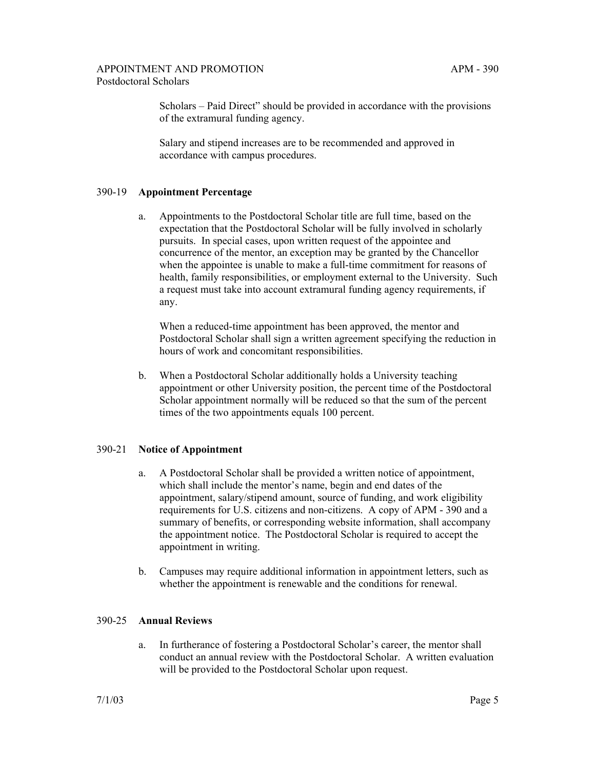Scholars – Paid Direct" should be provided in accordance with the provisions of the extramural funding agency.

Salary and stipend increases are to be recommended and approved in accordance with campus procedures.

## 390-19 **Appointment Percentage**

a. Appointments to the Postdoctoral Scholar title are full time, based on the expectation that the Postdoctoral Scholar will be fully involved in scholarly pursuits. In special cases, upon written request of the appointee and concurrence of the mentor, an exception may be granted by the Chancellor when the appointee is unable to make a full-time commitment for reasons of health, family responsibilities, or employment external to the University. Such a request must take into account extramural funding agency requirements, if any.

When a reduced-time appointment has been approved, the mentor and Postdoctoral Scholar shall sign a written agreement specifying the reduction in hours of work and concomitant responsibilities.

b. When a Postdoctoral Scholar additionally holds a University teaching appointment or other University position, the percent time of the Postdoctoral Scholar appointment normally will be reduced so that the sum of the percent times of the two appointments equals 100 percent.

## 390-21 **Notice of Appointment**

- a. A Postdoctoral Scholar shall be provided a written notice of appointment, which shall include the mentor's name, begin and end dates of the appointment, salary/stipend amount, source of funding, and work eligibility requirements for U.S. citizens and non-citizens. A copy of APM - 390 and a summary of benefits, or corresponding website information, shall accompany the appointment notice. The Postdoctoral Scholar is required to accept the appointment in writing.
- b. Campuses may require additional information in appointment letters, such as whether the appointment is renewable and the conditions for renewal.

#### 390-25 **Annual Reviews**

a. In furtherance of fostering a Postdoctoral Scholar's career, the mentor shall conduct an annual review with the Postdoctoral Scholar. A written evaluation will be provided to the Postdoctoral Scholar upon request.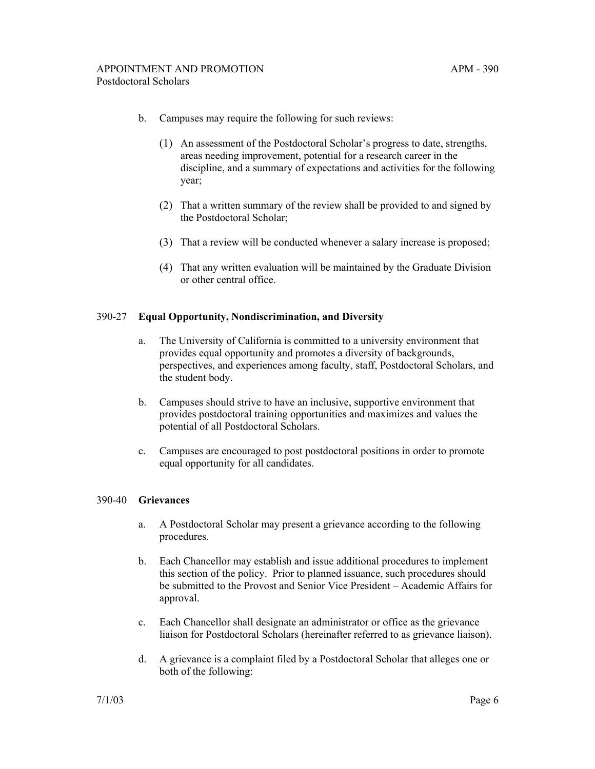- b. Campuses may require the following for such reviews:
	- (1) An assessment of the Postdoctoral Scholar's progress to date, strengths, areas needing improvement, potential for a research career in the discipline, and a summary of expectations and activities for the following year;
	- (2) That a written summary of the review shall be provided to and signed by the Postdoctoral Scholar;
	- (3) That a review will be conducted whenever a salary increase is proposed;
	- (4) That any written evaluation will be maintained by the Graduate Division or other central office.

#### 390-27 **Equal Opportunity, Nondiscrimination, and Diversity**

- a. The University of California is committed to a university environment that provides equal opportunity and promotes a diversity of backgrounds, perspectives, and experiences among faculty, staff, Postdoctoral Scholars, and the student body.
- b. Campuses should strive to have an inclusive, supportive environment that provides postdoctoral training opportunities and maximizes and values the potential of all Postdoctoral Scholars.
- c. Campuses are encouraged to post postdoctoral positions in order to promote equal opportunity for all candidates.

#### 390-40 **Grievances**

- a. A Postdoctoral Scholar may present a grievance according to the following procedures.
- b. Each Chancellor may establish and issue additional procedures to implement this section of the policy. Prior to planned issuance, such procedures should be submitted to the Provost and Senior Vice President – Academic Affairs for approval.
- c. Each Chancellor shall designate an administrator or office as the grievance liaison for Postdoctoral Scholars (hereinafter referred to as grievance liaison).
- d. A grievance is a complaint filed by a Postdoctoral Scholar that alleges one or both of the following: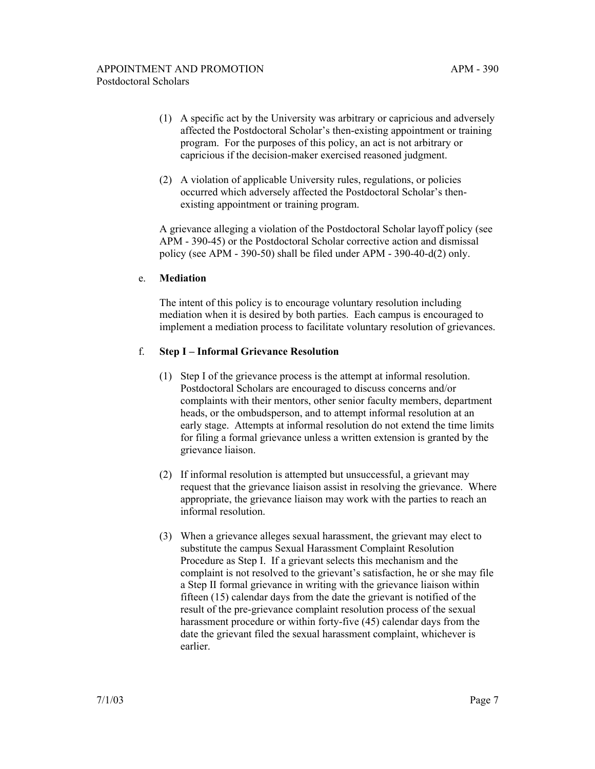- (1) A specific act by the University was arbitrary or capricious and adversely affected the Postdoctoral Scholar's then-existing appointment or training program. For the purposes of this policy, an act is not arbitrary or capricious if the decision-maker exercised reasoned judgment.
- (2) A violation of applicable University rules, regulations, or policies occurred which adversely affected the Postdoctoral Scholar's thenexisting appointment or training program.

A grievance alleging a violation of the Postdoctoral Scholar layoff policy (see APM - 390-45) or the Postdoctoral Scholar corrective action and dismissal policy (see APM - 390-50) shall be filed under APM - 390-40-d(2) only.

## e. **Mediation**

The intent of this policy is to encourage voluntary resolution including mediation when it is desired by both parties. Each campus is encouraged to implement a mediation process to facilitate voluntary resolution of grievances.

## f. **Step I – Informal Grievance Resolution**

- (1) Step I of the grievance process is the attempt at informal resolution. Postdoctoral Scholars are encouraged to discuss concerns and/or complaints with their mentors, other senior faculty members, department heads, or the ombudsperson, and to attempt informal resolution at an early stage. Attempts at informal resolution do not extend the time limits for filing a formal grievance unless a written extension is granted by the grievance liaison.
- (2) If informal resolution is attempted but unsuccessful, a grievant may request that the grievance liaison assist in resolving the grievance. Where appropriate, the grievance liaison may work with the parties to reach an informal resolution.
- (3) When a grievance alleges sexual harassment, the grievant may elect to substitute the campus Sexual Harassment Complaint Resolution Procedure as Step I. If a grievant selects this mechanism and the complaint is not resolved to the grievant's satisfaction, he or she may file a Step II formal grievance in writing with the grievance liaison within fifteen (15) calendar days from the date the grievant is notified of the result of the pre-grievance complaint resolution process of the sexual harassment procedure or within forty-five (45) calendar days from the date the grievant filed the sexual harassment complaint, whichever is earlier.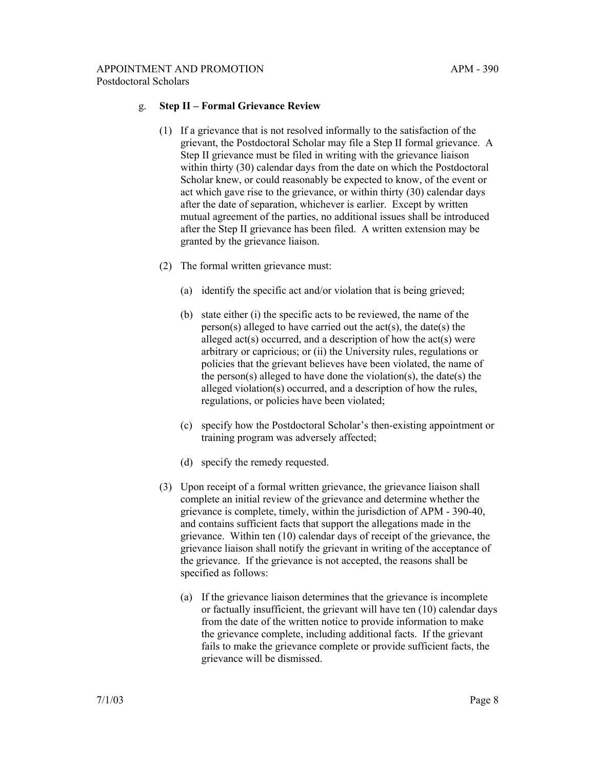## g. **Step II – Formal Grievance Review**

- (1) If a grievance that is not resolved informally to the satisfaction of the grievant, the Postdoctoral Scholar may file a Step II formal grievance. A Step II grievance must be filed in writing with the grievance liaison within thirty (30) calendar days from the date on which the Postdoctoral Scholar knew, or could reasonably be expected to know, of the event or act which gave rise to the grievance, or within thirty (30) calendar days after the date of separation, whichever is earlier. Except by written mutual agreement of the parties, no additional issues shall be introduced after the Step II grievance has been filed. A written extension may be granted by the grievance liaison.
- (2) The formal written grievance must:
	- (a) identify the specific act and/or violation that is being grieved;
	- (b) state either (i) the specific acts to be reviewed, the name of the person(s) alleged to have carried out the  $act(s)$ , the date(s) the alleged act(s) occurred, and a description of how the act(s) were arbitrary or capricious; or (ii) the University rules, regulations or policies that the grievant believes have been violated, the name of the person(s) alleged to have done the violation(s), the date(s) the alleged violation(s) occurred, and a description of how the rules, regulations, or policies have been violated;
	- (c) specify how the Postdoctoral Scholar's then-existing appointment or training program was adversely affected;
	- (d) specify the remedy requested.
- (3) Upon receipt of a formal written grievance, the grievance liaison shall complete an initial review of the grievance and determine whether the grievance is complete, timely, within the jurisdiction of APM - 390-40, and contains sufficient facts that support the allegations made in the grievance. Within ten (10) calendar days of receipt of the grievance, the grievance liaison shall notify the grievant in writing of the acceptance of the grievance. If the grievance is not accepted, the reasons shall be specified as follows:
	- (a) If the grievance liaison determines that the grievance is incomplete or factually insufficient, the grievant will have ten (10) calendar days from the date of the written notice to provide information to make the grievance complete, including additional facts. If the grievant fails to make the grievance complete or provide sufficient facts, the grievance will be dismissed.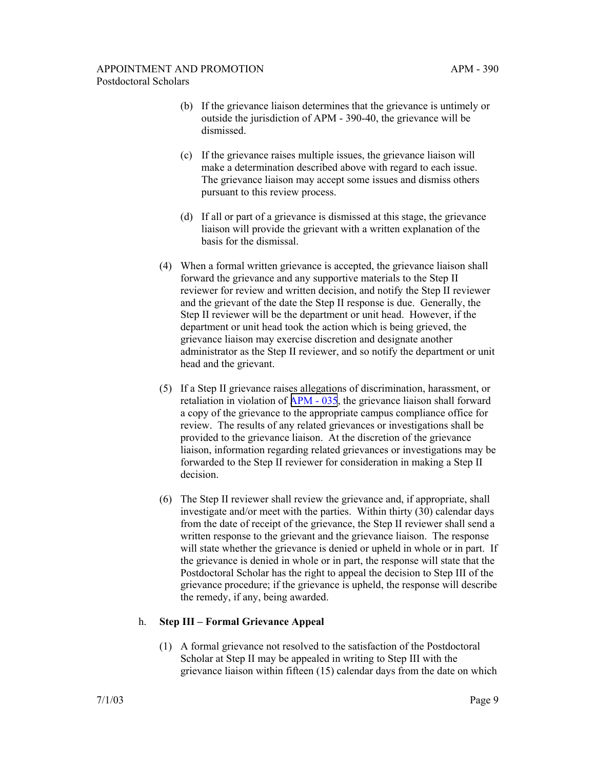- (b) If the grievance liaison determines that the grievance is untimely or outside the jurisdiction of APM - 390-40, the grievance will be dismissed.
- (c) If the grievance raises multiple issues, the grievance liaison will make a determination described above with regard to each issue. The grievance liaison may accept some issues and dismiss others pursuant to this review process.
- (d) If all or part of a grievance is dismissed at this stage, the grievance liaison will provide the grievant with a written explanation of the basis for the dismissal.
- (4) When a formal written grievance is accepted, the grievance liaison shall forward the grievance and any supportive materials to the Step II reviewer for review and written decision, and notify the Step II reviewer and the grievant of the date the Step II response is due. Generally, the Step II reviewer will be the department or unit head. However, if the department or unit head took the action which is being grieved, the grievance liaison may exercise discretion and designate another administrator as the Step II reviewer, and so notify the department or unit head and the grievant.
- (5) If a Step II grievance raises allegations of discrimination, harassment, or retaliation in violation of [APM - 035](http://ucop.edu/academic-personnel-programs/_files/apm/apm-035.pdf), the grievance liaison shall forward a copy of the grievance to the appropriate campus compliance office for review. The results of any related grievances or investigations shall be provided to the grievance liaison. At the discretion of the grievance liaison, information regarding related grievances or investigations may be forwarded to the Step II reviewer for consideration in making a Step II decision.
- (6) The Step II reviewer shall review the grievance and, if appropriate, shall investigate and/or meet with the parties. Within thirty (30) calendar days from the date of receipt of the grievance, the Step II reviewer shall send a written response to the grievant and the grievance liaison. The response will state whether the grievance is denied or upheld in whole or in part. If the grievance is denied in whole or in part, the response will state that the Postdoctoral Scholar has the right to appeal the decision to Step III of the grievance procedure; if the grievance is upheld, the response will describe the remedy, if any, being awarded.

# h. **Step III – Formal Grievance Appeal**

(1) A formal grievance not resolved to the satisfaction of the Postdoctoral Scholar at Step II may be appealed in writing to Step III with the grievance liaison within fifteen (15) calendar days from the date on which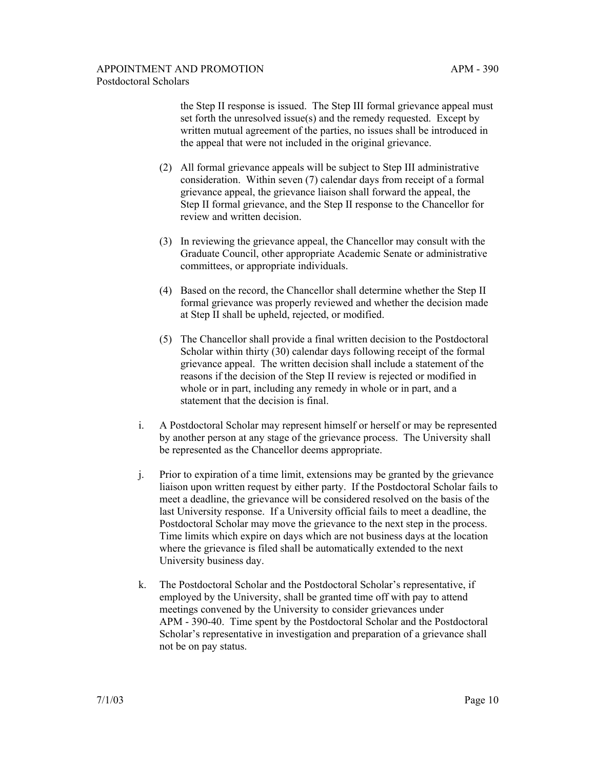the Step II response is issued. The Step III formal grievance appeal must set forth the unresolved issue(s) and the remedy requested. Except by written mutual agreement of the parties, no issues shall be introduced in the appeal that were not included in the original grievance.

- (2) All formal grievance appeals will be subject to Step III administrative consideration. Within seven (7) calendar days from receipt of a formal grievance appeal, the grievance liaison shall forward the appeal, the Step II formal grievance, and the Step II response to the Chancellor for review and written decision.
- (3) In reviewing the grievance appeal, the Chancellor may consult with the Graduate Council, other appropriate Academic Senate or administrative committees, or appropriate individuals.
- (4) Based on the record, the Chancellor shall determine whether the Step II formal grievance was properly reviewed and whether the decision made at Step II shall be upheld, rejected, or modified.
- (5) The Chancellor shall provide a final written decision to the Postdoctoral Scholar within thirty (30) calendar days following receipt of the formal grievance appeal. The written decision shall include a statement of the reasons if the decision of the Step II review is rejected or modified in whole or in part, including any remedy in whole or in part, and a statement that the decision is final.
- i. A Postdoctoral Scholar may represent himself or herself or may be represented by another person at any stage of the grievance process. The University shall be represented as the Chancellor deems appropriate.
- j. Prior to expiration of a time limit, extensions may be granted by the grievance liaison upon written request by either party. If the Postdoctoral Scholar fails to meet a deadline, the grievance will be considered resolved on the basis of the last University response. If a University official fails to meet a deadline, the Postdoctoral Scholar may move the grievance to the next step in the process. Time limits which expire on days which are not business days at the location where the grievance is filed shall be automatically extended to the next University business day.
- k. The Postdoctoral Scholar and the Postdoctoral Scholar's representative, if employed by the University, shall be granted time off with pay to attend meetings convened by the University to consider grievances under APM - 390-40. Time spent by the Postdoctoral Scholar and the Postdoctoral Scholar's representative in investigation and preparation of a grievance shall not be on pay status.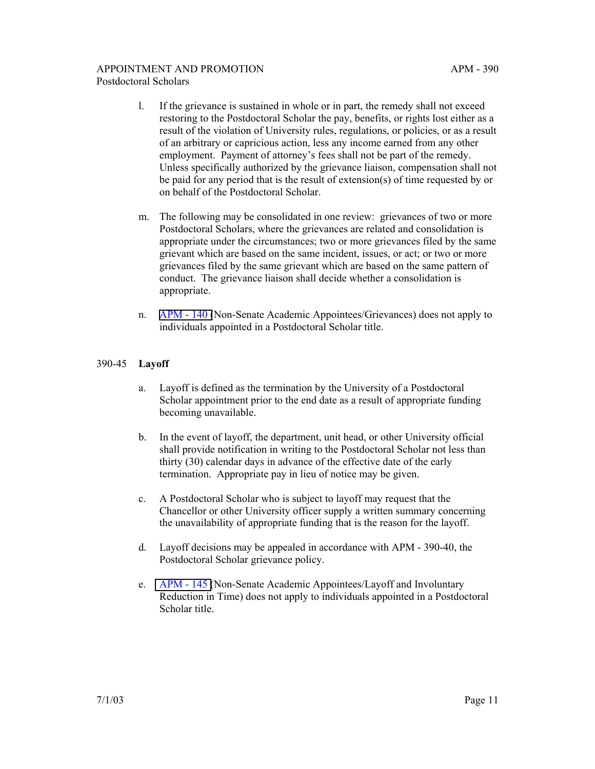- l. If the grievance is sustained in whole or in part, the remedy shall not exceed restoring to the Postdoctoral Scholar the pay, benefits, or rights lost either as a result of the violation of University rules, regulations, or policies, or as a result of an arbitrary or capricious action, less any income earned from any other employment. Payment of attorney's fees shall not be part of the remedy. Unless specifically authorized by the grievance liaison, compensation shall not be paid for any period that is the result of extension(s) of time requested by or on behalf of the Postdoctoral Scholar.
- m. The following may be consolidated in one review: grievances of two or more Postdoctoral Scholars, where the grievances are related and consolidation is appropriate under the circumstances; two or more grievances filed by the same grievant which are based on the same incident, issues, or act; or two or more grievances filed by the same grievant which are based on the same pattern of conduct. The grievance liaison shall decide whether a consolidation is appropriate.
- n. [APM 140 \(](http://ucop.edu/academic-personnel-programs/_files/apm/apm-140.pdf)Non-Senate Academic Appointees/Grievances) does not apply to individuals appointed in a Postdoctoral Scholar title.

# 390-45 **Layoff**

- a. Layoff is defined as the termination by the University of a Postdoctoral Scholar appointment prior to the end date as a result of appropriate funding becoming unavailable.
- b. In the event of layoff, the department, unit head, or other University official shall provide notification in writing to the Postdoctoral Scholar not less than thirty (30) calendar days in advance of the effective date of the early termination. Appropriate pay in lieu of notice may be given.
- c. A Postdoctoral Scholar who is subject to layoff may request that the Chancellor or other University officer supply a written summary concerning the unavailability of appropriate funding that is the reason for the layoff.
- d. Layoff decisions may be appealed in accordance with APM 390-40, the Postdoctoral Scholar grievance policy.
- e. [APM 145 \(](http://ucop.edu/academic-personnel-programs/_files/apm/apm-145.pdf)Non-Senate Academic Appointees/Layoff and Involuntary Reduction in Time) does not apply to individuals appointed in a Postdoctoral Scholar title.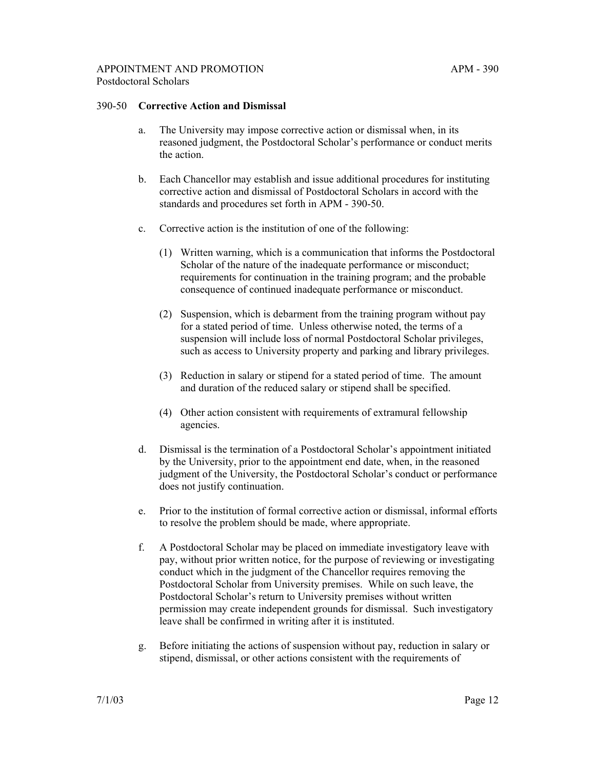#### 390-50 **Corrective Action and Dismissal**

- a. The University may impose corrective action or dismissal when, in its reasoned judgment, the Postdoctoral Scholar's performance or conduct merits the action.
- b. Each Chancellor may establish and issue additional procedures for instituting corrective action and dismissal of Postdoctoral Scholars in accord with the standards and procedures set forth in APM - 390-50.
- c. Corrective action is the institution of one of the following:
	- (1) Written warning, which is a communication that informs the Postdoctoral Scholar of the nature of the inadequate performance or misconduct; requirements for continuation in the training program; and the probable consequence of continued inadequate performance or misconduct.
	- (2) Suspension, which is debarment from the training program without pay for a stated period of time. Unless otherwise noted, the terms of a suspension will include loss of normal Postdoctoral Scholar privileges, such as access to University property and parking and library privileges.
	- (3) Reduction in salary or stipend for a stated period of time. The amount and duration of the reduced salary or stipend shall be specified.
	- (4) Other action consistent with requirements of extramural fellowship agencies.
- d. Dismissal is the termination of a Postdoctoral Scholar's appointment initiated by the University, prior to the appointment end date, when, in the reasoned judgment of the University, the Postdoctoral Scholar's conduct or performance does not justify continuation.
- e. Prior to the institution of formal corrective action or dismissal, informal efforts to resolve the problem should be made, where appropriate.
- f. A Postdoctoral Scholar may be placed on immediate investigatory leave with pay, without prior written notice, for the purpose of reviewing or investigating conduct which in the judgment of the Chancellor requires removing the Postdoctoral Scholar from University premises. While on such leave, the Postdoctoral Scholar's return to University premises without written permission may create independent grounds for dismissal. Such investigatory leave shall be confirmed in writing after it is instituted.
- g. Before initiating the actions of suspension without pay, reduction in salary or stipend, dismissal, or other actions consistent with the requirements of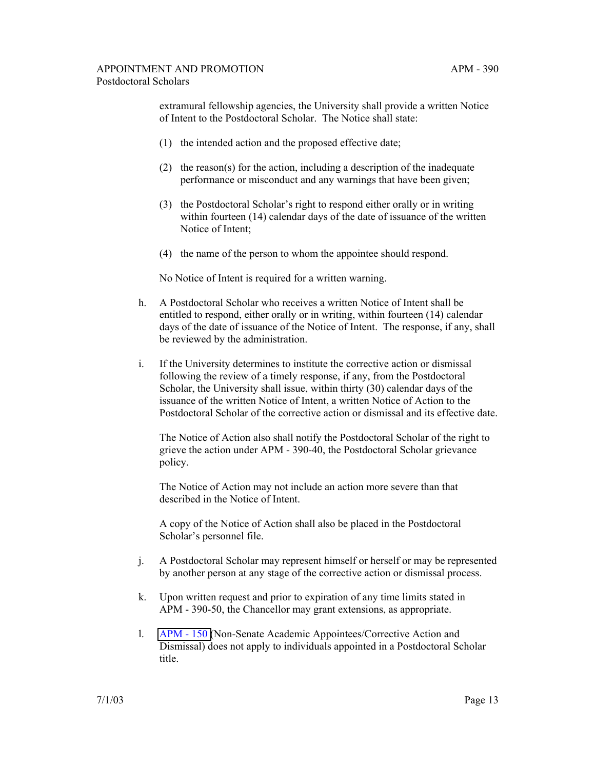extramural fellowship agencies, the University shall provide a written Notice of Intent to the Postdoctoral Scholar. The Notice shall state:

- (1) the intended action and the proposed effective date;
- (2) the reason(s) for the action, including a description of the inadequate performance or misconduct and any warnings that have been given;
- (3) the Postdoctoral Scholar's right to respond either orally or in writing within fourteen (14) calendar days of the date of issuance of the written Notice of Intent;
- (4) the name of the person to whom the appointee should respond.

No Notice of Intent is required for a written warning.

- h. A Postdoctoral Scholar who receives a written Notice of Intent shall be entitled to respond, either orally or in writing, within fourteen (14) calendar days of the date of issuance of the Notice of Intent. The response, if any, shall be reviewed by the administration.
- i. If the University determines to institute the corrective action or dismissal following the review of a timely response, if any, from the Postdoctoral Scholar, the University shall issue, within thirty (30) calendar days of the issuance of the written Notice of Intent, a written Notice of Action to the Postdoctoral Scholar of the corrective action or dismissal and its effective date.

The Notice of Action also shall notify the Postdoctoral Scholar of the right to grieve the action under APM - 390-40, the Postdoctoral Scholar grievance policy.

The Notice of Action may not include an action more severe than that described in the Notice of Intent.

A copy of the Notice of Action shall also be placed in the Postdoctoral Scholar's personnel file.

- j. A Postdoctoral Scholar may represent himself or herself or may be represented by another person at any stage of the corrective action or dismissal process.
- k. Upon written request and prior to expiration of any time limits stated in APM - 390-50, the Chancellor may grant extensions, as appropriate.
- l. [APM 150 \(](http://ucop.edu/academic-personnel-programs/_files/apm/apm-150.pdf)Non-Senate Academic Appointees/Corrective Action and Dismissal) does not apply to individuals appointed in a Postdoctoral Scholar title.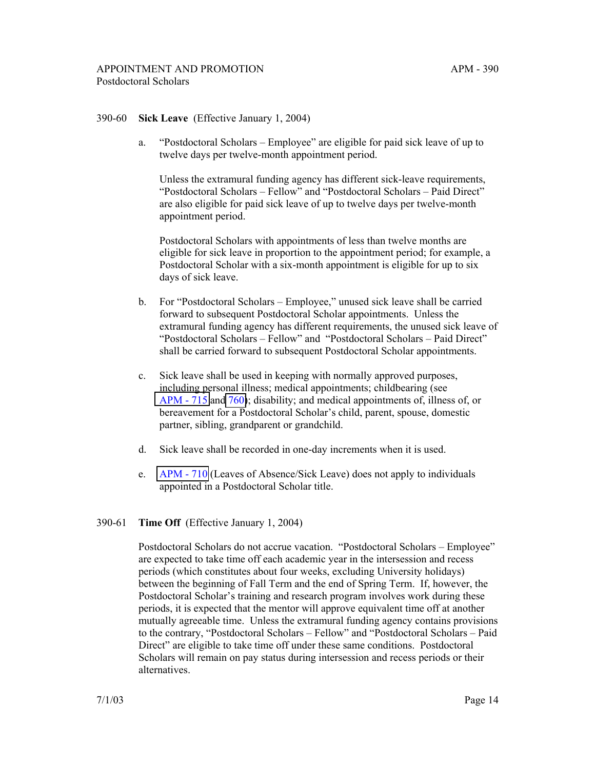### 390-60 **Sick Leave** (Effective January 1, 2004)

a. "Postdoctoral Scholars – Employee" are eligible for paid sick leave of up to twelve days per twelve-month appointment period.

Unless the extramural funding agency has different sick-leave requirements, "Postdoctoral Scholars – Fellow" and "Postdoctoral Scholars – Paid Direct" are also eligible for paid sick leave of up to twelve days per twelve-month appointment period.

Postdoctoral Scholars with appointments of less than twelve months are eligible for sick leave in proportion to the appointment period; for example, a Postdoctoral Scholar with a six-month appointment is eligible for up to six days of sick leave.

- b. For "Postdoctoral Scholars Employee," unused sick leave shall be carried forward to subsequent Postdoctoral Scholar appointments. Unless the extramural funding agency has different requirements, the unused sick leave of "Postdoctoral Scholars – Fellow" and "Postdoctoral Scholars – Paid Direct" shall be carried forward to subsequent Postdoctoral Scholar appointments.
- c. Sick leave shall be used in keeping with normally approved purposes, including personal illness; medical appointments; childbearing (see [APM - 715](http://ucop.edu/academic-personnel-programs/_files/apm/apm-715.pdf) and [760\)](http://ucop.edu/academic-personnel-programs/_files/apm/apm-760.pdf); disability; and medical appointments of, illness of, or bereavement for a Postdoctoral Scholar's child, parent, spouse, domestic partner, sibling, grandparent or grandchild.
- d. Sick leave shall be recorded in one-day increments when it is used.
- e. [APM 710](http://ucop.edu/academic-personnel-programs/_files/apm/apm-710.pdf) (Leaves of Absence/Sick Leave) does not apply to individuals appointed in a Postdoctoral Scholar title.

#### 390-61 **Time Off** (Effective January 1, 2004)

 Postdoctoral Scholars do not accrue vacation. "Postdoctoral Scholars – Employee" are expected to take time off each academic year in the intersession and recess periods (which constitutes about four weeks, excluding University holidays) between the beginning of Fall Term and the end of Spring Term. If, however, the Postdoctoral Scholar's training and research program involves work during these periods, it is expected that the mentor will approve equivalent time off at another mutually agreeable time. Unless the extramural funding agency contains provisions to the contrary, "Postdoctoral Scholars – Fellow" and "Postdoctoral Scholars – Paid Direct" are eligible to take time off under these same conditions. Postdoctoral Scholars will remain on pay status during intersession and recess periods or their alternatives.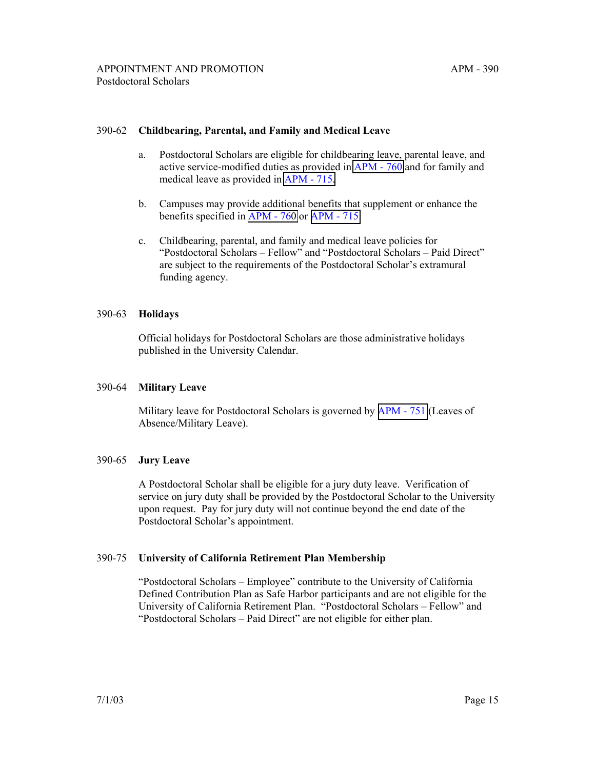## 390-62 **Childbearing, Parental, and Family and Medical Leave**

- a. Postdoctoral Scholars are eligible for childbearing leave, parental leave, and active service-modified duties as provided in [APM - 760](http://ucop.edu/academic-personnel-programs/_files/apm/apm-760.pdf) and for family and medical leave as provided in [APM - 715.](http://ucop.edu/academic-personnel-programs/_files/apm/apm-715.pdf)
- b. Campuses may provide additional benefits that supplement or enhance the benefits specified in [APM - 760](http://ucop.edu/academic-personnel-programs/_files/apm/apm-760.pdf) or [APM - 715.](http://ucop.edu/academic-personnel-programs/_files/apm/apm-715.pdf)
- c. Childbearing, parental, and family and medical leave policies for "Postdoctoral Scholars – Fellow" and "Postdoctoral Scholars – Paid Direct" are subject to the requirements of the Postdoctoral Scholar's extramural funding agency.

### 390-63 **Holidays**

Official holidays for Postdoctoral Scholars are those administrative holidays published in the University Calendar.

## 390-64 **Military Leave**

Military leave for Postdoctoral Scholars is governed by [APM - 751](http://ucop.edu/academic-personnel-programs/_files/apm/apm-751.pdf) (Leaves of Absence/Military Leave).

## 390-65 **Jury Leave**

A Postdoctoral Scholar shall be eligible for a jury duty leave. Verification of service on jury duty shall be provided by the Postdoctoral Scholar to the University upon request. Pay for jury duty will not continue beyond the end date of the Postdoctoral Scholar's appointment.

## 390-75 **University of California Retirement Plan Membership**

"Postdoctoral Scholars – Employee" contribute to the University of California Defined Contribution Plan as Safe Harbor participants and are not eligible for the University of California Retirement Plan. "Postdoctoral Scholars – Fellow" and "Postdoctoral Scholars – Paid Direct" are not eligible for either plan.